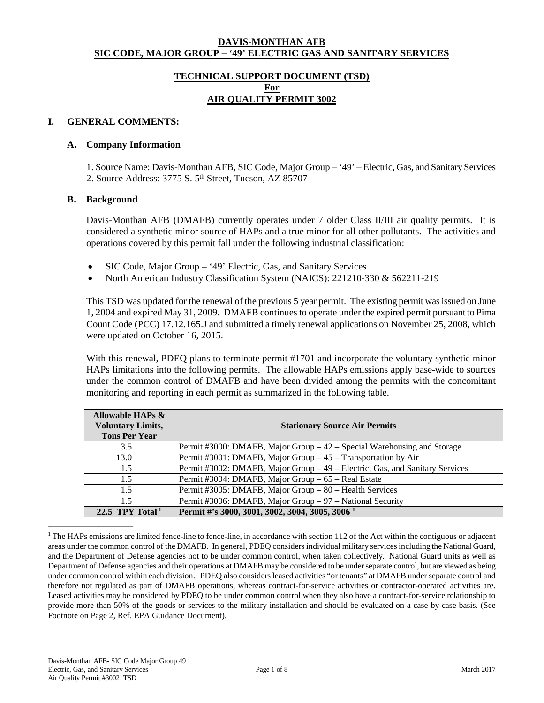#### **DAVIS-MONTHAN AFB SIC CODE, MAJOR GROUP – '49' ELECTRIC GAS AND SANITARY SERVICES**

### **TECHNICAL SUPPORT DOCUMENT (TSD) For AIR QUALITY PERMIT 3002**

## **I. GENERAL COMMENTS:**

#### **A. Company Information**

1. Source Name: Davis-Monthan AFB, SIC Code, Major Group – '49' – Electric, Gas, and Sanitary Services 2. Source Address: 3775 S. 5<sup>th</sup> Street, Tucson, AZ 85707

#### **B. Background**

Davis-Monthan AFB (DMAFB) currently operates under 7 older Class II/III air quality permits. It is considered a synthetic minor source of HAPs and a true minor for all other pollutants. The activities and operations covered by this permit fall under the following industrial classification:

- SIC Code, Major Group '49' Electric, Gas, and Sanitary Services
- North American Industry Classification System (NAICS): 221210-330 & 562211-219

This TSD was updated for the renewal of the previous 5 year permit. The existing permit was issued on June 1, 2004 and expired May 31, 2009. DMAFB continues to operate under the expired permit pursuant to Pima Count Code (PCC) 17.12.165.J and submitted a timely renewal applications on November 25, 2008, which were updated on October 16, 2015.

With this renewal, PDEQ plans to terminate permit #1701 and incorporate the voluntary synthetic minor HAPs limitations into the following permits. The allowable HAPs emissions apply base-wide to sources under the common control of DMAFB and have been divided among the permits with the concomitant monitoring and reporting in each permit as summarized in the following table.

| Allowable HAPs &<br><b>Voluntary Limits,</b><br><b>Tons Per Year</b> | <b>Stationary Source Air Permits</b>                                         |
|----------------------------------------------------------------------|------------------------------------------------------------------------------|
| 3.5                                                                  | Permit #3000: DMAFB, Major Group $-42$ – Special Warehousing and Storage     |
| 13.0                                                                 | Permit #3001: DMAFB, Major Group - 45 - Transportation by Air                |
| 1.5                                                                  | Permit #3002: DMAFB, Major Group - 49 - Electric, Gas, and Sanitary Services |
| 1.5                                                                  | Permit #3004: DMAFB, Major Group – 65 – Real Estate                          |
| 1.5                                                                  | Permit #3005: DMAFB, Major Group - 80 - Health Services                      |
| 1.5                                                                  | Permit #3006: DMAFB, Major Group - 97 - National Security                    |
| 22.5 TPY Total $1$                                                   | Permit #'s 3000, 3001, 3002, 3004, 3005, 3006 <sup>1</sup>                   |

<sup>&</sup>lt;sup>1</sup> The HAPs emissions are limited fence-line to fence-line, in accordance with section 112 of the Act within the contiguous or adjacent areas under the common control of the DMAFB. In general, PDEQ considersindividual military servicesincluding the National Guard, and the Department of Defense agencies not to be under common control, when taken collectively. National Guard units as well as Department of Defense agencies and their operations at DMAFB may be considered to be under separate control, but are viewed as being under common control within each division. PDEQ also considers leased activities "or tenants" at DMAFB under separate control and therefore not regulated as part of DMAFB operations, whereas contract-for-service activities or contractor-operated activities are. Leased activities may be considered by PDEQ to be under common control when they also have a contract-for-service relationship to provide more than 50% of the goods or services to the military installation and should be evaluated on a case-by-case basis. (See Footnote on Page 2, Ref. EPA Guidance Document).

 $\frac{1}{2}$  ,  $\frac{1}{2}$  ,  $\frac{1}{2}$  ,  $\frac{1}{2}$  ,  $\frac{1}{2}$  ,  $\frac{1}{2}$  ,  $\frac{1}{2}$  ,  $\frac{1}{2}$  ,  $\frac{1}{2}$  ,  $\frac{1}{2}$  ,  $\frac{1}{2}$  ,  $\frac{1}{2}$  ,  $\frac{1}{2}$  ,  $\frac{1}{2}$  ,  $\frac{1}{2}$  ,  $\frac{1}{2}$  ,  $\frac{1}{2}$  ,  $\frac{1}{2}$  ,  $\frac{1$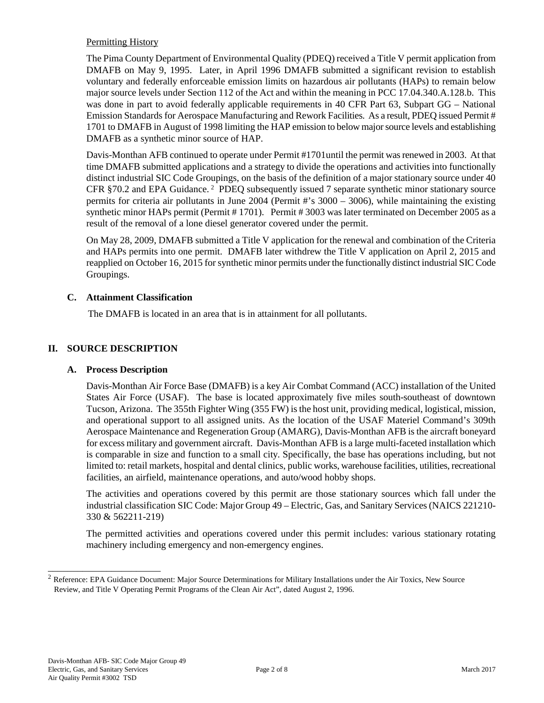### Permitting History

The Pima County Department of Environmental Quality (PDEQ) received a Title V permit application from DMAFB on May 9, 1995. Later, in April 1996 DMAFB submitted a significant revision to establish voluntary and federally enforceable emission limits on hazardous air pollutants (HAPs) to remain below major source levels under Section 112 of the Act and within the meaning in PCC 17.04.340.A.128.b. This was done in part to avoid federally applicable requirements in 40 CFR Part 63, Subpart GG – National Emission Standards for Aerospace Manufacturing and Rework Facilities. As a result, PDEQ issued Permit # 1701 to DMAFB in August of 1998 limiting the HAP emission to below major source levels and establishing DMAFB as a synthetic minor source of HAP.

Davis-Monthan AFB continued to operate under Permit #1701until the permit was renewed in 2003. At that time DMAFB submitted applications and a strategy to divide the operations and activities into functionally distinct industrial SIC Code Groupings, on the basis of the definition of a major stationary source under 40 CFR §70.2 and EPA Guidance.<sup>2</sup> PDEQ subsequently issued 7 separate synthetic minor stationary source permits for criteria air pollutants in June 2004 (Permit #'s 3000 – 3006), while maintaining the existing synthetic minor HAPs permit (Permit # 1701). Permit # 3003 was later terminated on December 2005 as a result of the removal of a lone diesel generator covered under the permit.

On May 28, 2009, DMAFB submitted a Title V application for the renewal and combination of the Criteria and HAPs permits into one permit. DMAFB later withdrew the Title V application on April 2, 2015 and reapplied on October 16, 2015 for synthetic minor permits under the functionally distinct industrial SIC Code Groupings.

## **C. Attainment Classification**

The DMAFB is located in an area that is in attainment for all pollutants.

## **II. SOURCE DESCRIPTION**

### **A. Process Description**

Davis-Monthan Air Force Base (DMAFB) is a key Air Combat Command (ACC) installation of the United States Air Force (USAF). The base is located approximately five miles south-southeast of downtown Tucson, Arizona. The 355th Fighter Wing (355 FW) is the host unit, providing medical, logistical, mission, and operational support to all assigned units. As the location of the USAF Materiel Command's 309th Aerospace Maintenance and Regeneration Group (AMARG), Davis-Monthan AFB is the aircraft boneyard for excess military and government aircraft. Davis-Monthan AFB is a large multi-faceted installation which is comparable in size and function to a small city. Specifically, the base has operations including, but not limited to: retail markets, hospital and dental clinics, public works, warehouse facilities, utilities, recreational facilities, an airfield, maintenance operations, and auto/wood hobby shops.

The activities and operations covered by this permit are those stationary sources which fall under the industrial classification SIC Code: Major Group 49 – Electric, Gas, and Sanitary Services(NAICS 221210- 330 & 562211-219)

The permitted activities and operations covered under this permit includes: various stationary rotating machinery including emergency and non-emergency engines.

\_\_\_\_\_\_\_\_\_\_\_\_\_\_\_\_\_\_\_\_\_\_\_

<sup>2</sup> Reference: EPA Guidance Document: Major Source Determinations for Military Installations under the Air Toxics, New Source Review, and Title V Operating Permit Programs of the Clean Air Act", dated August 2, 1996.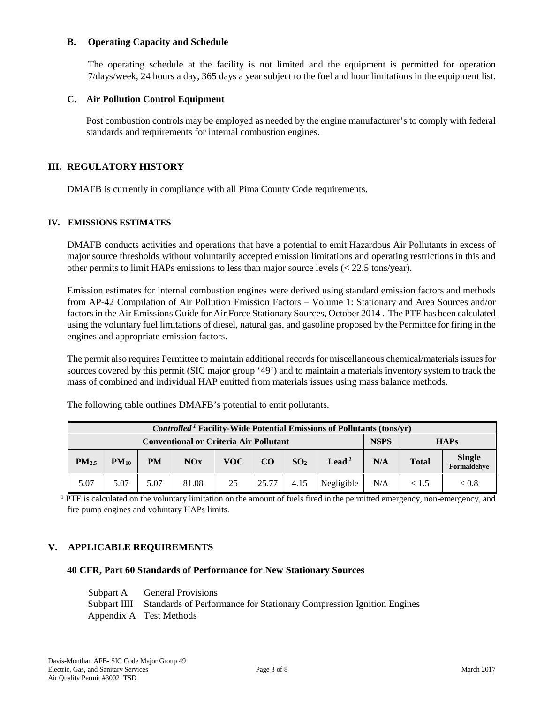### **B. Operating Capacity and Schedule**

The operating schedule at the facility is not limited and the equipment is permitted for operation 7/days/week, 24 hours a day, 365 days a year subject to the fuel and hour limitations in the equipment list.

#### **C. Air Pollution Control Equipment**

Post combustion controls may be employed as needed by the engine manufacturer's to comply with federal standards and requirements for internal combustion engines.

#### **III. REGULATORY HISTORY**

DMAFB is currently in compliance with all Pima County Code requirements.

#### **IV. EMISSIONS ESTIMATES**

DMAFB conducts activities and operations that have a potential to emit Hazardous Air Pollutants in excess of major source thresholds without voluntarily accepted emission limitations and operating restrictions in this and other permits to limit HAPs emissions to less than major source levels (< 22.5 tons/year).

Emission estimates for internal combustion engines were derived using standard emission factors and methods from AP-42 Compilation of Air Pollution Emission Factors – Volume 1: Stationary and Area Sources and/or factors in the Air Emissions Guide for Air Force Stationary Sources, October 2014 . The PTE has been calculated using the voluntary fuel limitations of diesel, natural gas, and gasoline proposed by the Permittee for firing in the engines and appropriate emission factors.

The permit also requires Permittee to maintain additional records for miscellaneous chemical/materials issuesfor sources covered by this permit (SIC major group '49') and to maintain a materials inventory system to track the mass of combined and individual HAP emitted from materials issues using mass balance methods.

| <b>Controlled<sup>1</sup></b> Facility-Wide Potential Emissions of Pollutants (tons/yr) |           |           |       |             |       |                 |                   |     |              |                              |
|-----------------------------------------------------------------------------------------|-----------|-----------|-------|-------------|-------|-----------------|-------------------|-----|--------------|------------------------------|
| <b>Conventional or Criteria Air Pollutant</b>                                           |           |           |       | <b>NSPS</b> |       | <b>HAPs</b>     |                   |     |              |                              |
| PM <sub>2.5</sub>                                                                       | $PM_{10}$ | <b>PM</b> | NOx   | VOC         | CO    | SO <sub>2</sub> | Lead <sup>2</sup> | N/A | <b>Total</b> | <b>Single</b><br>Formaldehye |
| 5.07                                                                                    | 5.07      | 5.07      | 81.08 | 25          | 25.77 | 4.15            | Negligible        | N/A | < 1.5        | < 0.8                        |

The following table outlines DMAFB's potential to emit pollutants.

<sup>1</sup> PTE is calculated on the voluntary limitation on the amount of fuels fired in the permitted emergency, non-emergency, and fire pump engines and voluntary HAPs limits.

### **V. APPLICABLE REQUIREMENTS**

#### **40 CFR, Part 60 Standards of Performance for New Stationary Sources**

| Subpart A General Provisions                                                      |
|-----------------------------------------------------------------------------------|
| Subpart IIII Standards of Performance for Stationary Compression Ignition Engines |
| Appendix A Test Methods                                                           |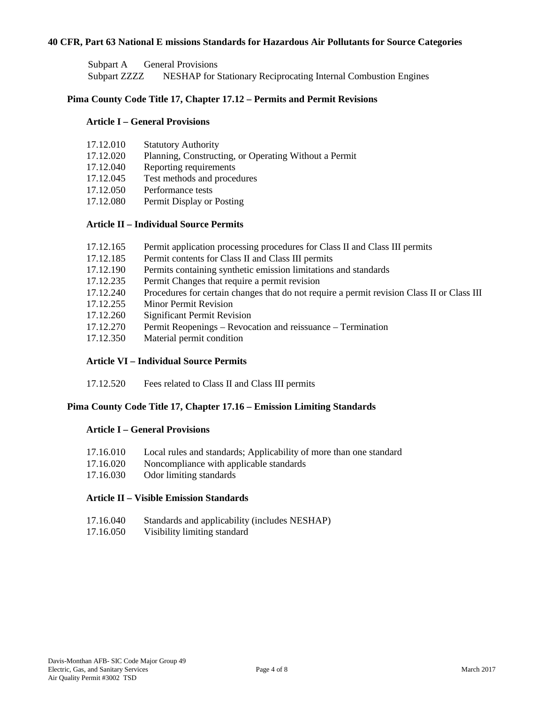#### **40 CFR, Part 63 National E missions Standards for Hazardous Air Pollutants for Source Categories**

Subpart A General Provisions Subpart ZZZZ NESHAP for Stationary Reciprocating Internal Combustion Engines

### **Pima County Code Title 17, Chapter 17.12 – Permits and Permit Revisions**

#### **Article I – General Provisions**

| 17.12.010 | <b>Statutory Authority</b> |
|-----------|----------------------------|
|-----------|----------------------------|

- 17.12.020 Planning, Constructing, or Operating Without a Permit
- 17.12.040 Reporting requirements
- 17.12.045 Test methods and procedures
- 17.12.050 Performance tests
- 17.12.080 Permit Display or Posting

#### **Article II – Individual Source Permits**

| 17.12.165 |  | Permit application processing procedures for Class II and Class III permits |  |  |
|-----------|--|-----------------------------------------------------------------------------|--|--|
|-----------|--|-----------------------------------------------------------------------------|--|--|

- 17.12.185 Permit contents for Class II and Class III permits
- 17.12.190 Permits containing synthetic emission limitations and standards
- 17.12.235 Permit Changes that require a permit revision
- 17.12.240 Procedures for certain changes that do not require a permit revision Class II or Class III
- 17.12.255 Minor Permit Revision
- 17.12.260 Significant Permit Revision
- 17.12.270 Permit Reopenings Revocation and reissuance Termination
- 17.12.350 Material permit condition

### **Article VI – Individual Source Permits**

17.12.520 Fees related to Class II and Class III permits

#### **Pima County Code Title 17, Chapter 17.16 – Emission Limiting Standards**

### **Article I – General Provisions**

- 17.16.010 Local rules and standards; Applicability of more than one standard
- 17.16.020 Noncompliance with applicable standards
- 17.16.030 Odor limiting standards

### **Article II – Visible Emission Standards**

- 17.16.040 Standards and applicability (includes NESHAP)
- 17.16.050 Visibility limiting standard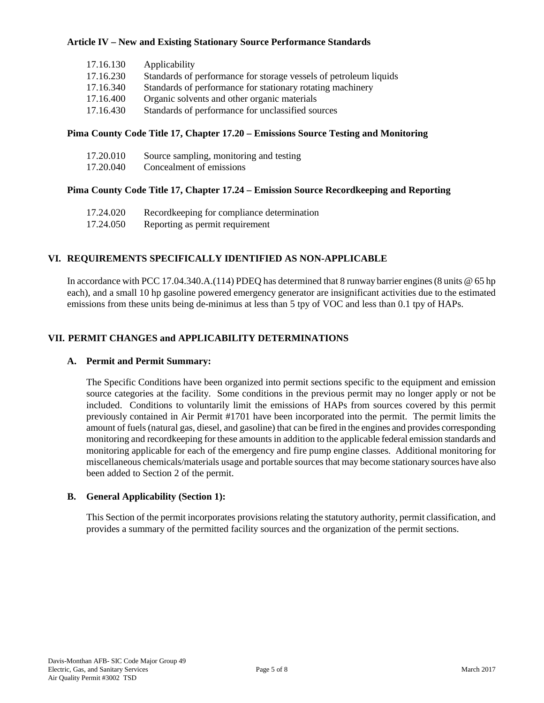## **Article IV – New and Existing Stationary Source Performance Standards**

| 17.16.130 | Applicability                                                     |
|-----------|-------------------------------------------------------------------|
| 17.16.230 | Standards of performance for storage vessels of petroleum liquids |
| 17.16.340 | Standards of performance for stationary rotating machinery        |
| 17.16.400 | Organic solvents and other organic materials                      |
| 17.16.430 | Standards of performance for unclassified sources                 |

### **Pima County Code Title 17, Chapter 17.20 – Emissions Source Testing and Monitoring**

| 17.20.010 | Source sampling, monitoring and testing |
|-----------|-----------------------------------------|
| 17.20.040 | Concealment of emissions                |

# **Pima County Code Title 17, Chapter 17.24 – Emission Source Recordkeeping and Reporting**

| 17.24.020 | Recordkeeping for compliance determination |
|-----------|--------------------------------------------|
| 17.24.050 | Reporting as permit requirement            |

## **VI. REQUIREMENTS SPECIFICALLY IDENTIFIED AS NON-APPLICABLE**

In accordance with PCC 17.04.340.A.(114) PDEO has determined that 8 runway barrier engines (8 units @ 65 hp) each), and a small 10 hp gasoline powered emergency generator are insignificant activities due to the estimated emissions from these units being de-minimus at less than 5 tpy of VOC and less than 0.1 tpy of HAPs.

## **VII. PERMIT CHANGES and APPLICABILITY DETERMINATIONS**

### **A. Permit and Permit Summary:**

The Specific Conditions have been organized into permit sections specific to the equipment and emission source categories at the facility. Some conditions in the previous permit may no longer apply or not be included. Conditions to voluntarily limit the emissions of HAPs from sources covered by this permit previously contained in Air Permit #1701 have been incorporated into the permit. The permit limits the amount of fuels (natural gas, diesel, and gasoline) that can be fired in the engines and provides corresponding monitoring and recordkeeping for these amounts in addition to the applicable federal emission standards and monitoring applicable for each of the emergency and fire pump engine classes. Additional monitoring for miscellaneous chemicals/materials usage and portable sources that may become stationary sources have also been added to Section 2 of the permit.

### **B. General Applicability (Section 1):**

This Section of the permit incorporates provisions relating the statutory authority, permit classification, and provides a summary of the permitted facility sources and the organization of the permit sections.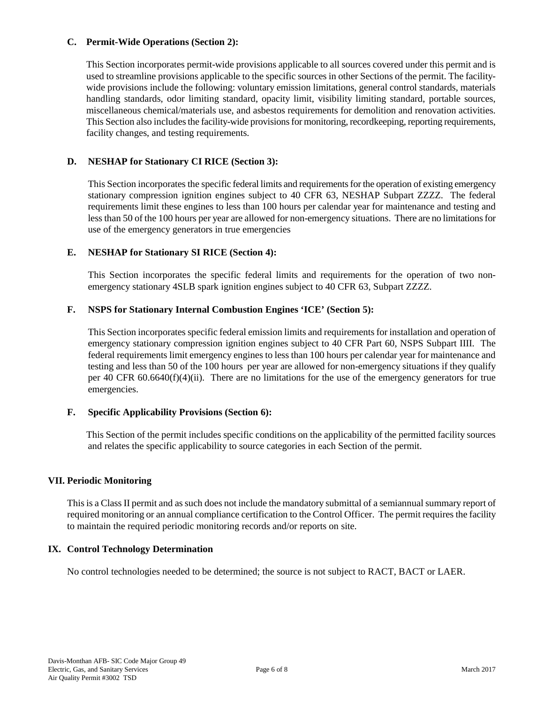### **C. Permit-Wide Operations (Section 2):**

This Section incorporates permit-wide provisions applicable to all sources covered under this permit and is used to streamline provisions applicable to the specific sources in other Sections of the permit. The facilitywide provisions include the following: voluntary emission limitations, general control standards, materials handling standards, odor limiting standard, opacity limit, visibility limiting standard, portable sources, miscellaneous chemical/materials use, and asbestos requirements for demolition and renovation activities. This Section also includes the facility-wide provisions for monitoring, recordkeeping, reporting requirements, facility changes, and testing requirements.

# **D. NESHAP for Stationary CI RICE (Section 3):**

This Section incorporates the specific federal limits and requirements for the operation of existing emergency stationary compression ignition engines subject to 40 CFR 63, NESHAP Subpart ZZZZ. The federal requirements limit these engines to less than 100 hours per calendar year for maintenance and testing and less than 50 of the 100 hours per year are allowed for non-emergency situations. There are no limitations for use of the emergency generators in true emergencies

## **E. NESHAP for Stationary SI RICE (Section 4):**

This Section incorporates the specific federal limits and requirements for the operation of two nonemergency stationary 4SLB spark ignition engines subject to 40 CFR 63, Subpart ZZZZ.

## **F. NSPS for Stationary Internal Combustion Engines 'ICE' (Section 5):**

This Section incorporates specific federal emission limits and requirements for installation and operation of emergency stationary compression ignition engines subject to 40 CFR Part 60, NSPS Subpart IIII. The federal requirements limit emergency engines to less than 100 hours per calendar year for maintenance and testing and less than 50 of the 100 hours per year are allowed for non-emergency situations if they qualify per 40 CFR 60.6640(f)(4)(ii). There are no limitations for the use of the emergency generators for true emergencies.

### **F. Specific Applicability Provisions (Section 6):**

This Section of the permit includes specific conditions on the applicability of the permitted facility sources and relates the specific applicability to source categories in each Section of the permit.

### **VII. Periodic Monitoring**

This is a Class II permit and as such does not include the mandatory submittal of a semiannual summary report of required monitoring or an annual compliance certification to the Control Officer. The permit requires the facility to maintain the required periodic monitoring records and/or reports on site.

### **IX. Control Technology Determination**

No control technologies needed to be determined; the source is not subject to RACT, BACT or LAER.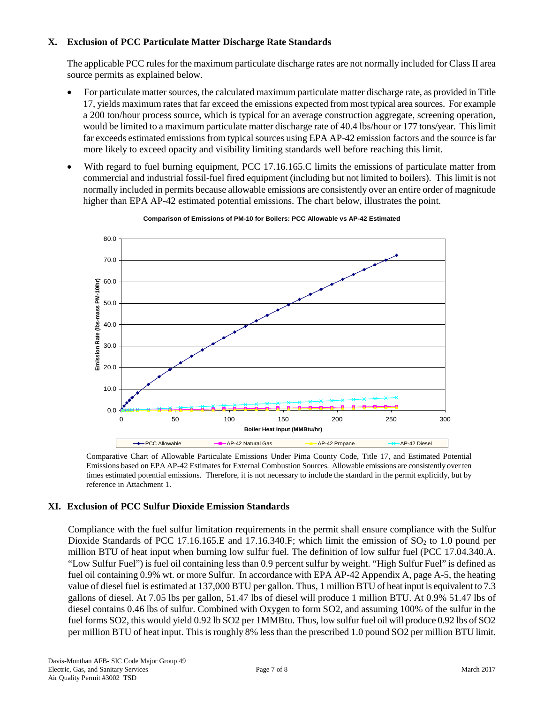## **X. Exclusion of PCC Particulate Matter Discharge Rate Standards**

The applicable PCC rules for the maximum particulate discharge rates are not normally included for Class II area source permits as explained below.

- For particulate matter sources, the calculated maximum particulate matter discharge rate, as provided in Title 17, yields maximum rates that far exceed the emissions expected from most typical area sources. For example a 200 ton/hour process source, which is typical for an average construction aggregate, screening operation, would be limited to a maximum particulate matter discharge rate of 40.4 lbs/hour or 177 tons/year. This limit far exceeds estimated emissions from typical sources using EPA AP-42 emission factors and the source is far more likely to exceed opacity and visibility limiting standards well before reaching this limit.
- With regard to fuel burning equipment, PCC 17.16.165.C limits the emissions of particulate matter from commercial and industrial fossil-fuel fired equipment (including but not limited to boilers). This limit is not normally included in permits because allowable emissions are consistently over an entire order of magnitude higher than EPA AP-42 estimated potential emissions. The chart below, illustrates the point.



#### **Comparison of Emissions of PM-10 for Boilers: PCC Allowable vs AP-42 Estimated**

Comparative Chart of Allowable Particulate Emissions Under Pima County Code, Title 17, and Estimated Potential Emissions based on EPA AP-42 Estimates for External Combustion Sources. Allowable emissions are consistently over ten times estimated potential emissions. Therefore, it is not necessary to include the standard in the permit explicitly, but by reference in Attachment 1.

### **XI. Exclusion of PCC Sulfur Dioxide Emission Standards**

Compliance with the fuel sulfur limitation requirements in the permit shall ensure compliance with the Sulfur Dioxide Standards of PCC 17.16.165.E and 17.16.340.F; which limit the emission of  $SO<sub>2</sub>$  to 1.0 pound per million BTU of heat input when burning low sulfur fuel. The definition of low sulfur fuel (PCC 17.04.340.A. "Low Sulfur Fuel") is fuel oil containing less than 0.9 percent sulfur by weight. "High Sulfur Fuel" is defined as fuel oil containing 0.9% wt. or more Sulfur. In accordance with EPA AP-42 Appendix A, page A-5, the heating value of diesel fuel is estimated at 137,000 BTU per gallon. Thus, 1 million BTU of heat input is equivalent to 7.3 gallons of diesel. At 7.05 lbs per gallon, 51.47 lbs of diesel will produce 1 million BTU. At 0.9% 51.47 lbs of diesel contains 0.46 lbs of sulfur. Combined with Oxygen to form SO2, and assuming 100% of the sulfur in the fuel forms SO2, this would yield 0.92 lb SO2 per 1MMBtu. Thus, low sulfur fuel oil will produce 0.92 lbs of SO2 per million BTU of heat input. This is roughly 8% less than the prescribed 1.0 pound SO2 per million BTU limit.